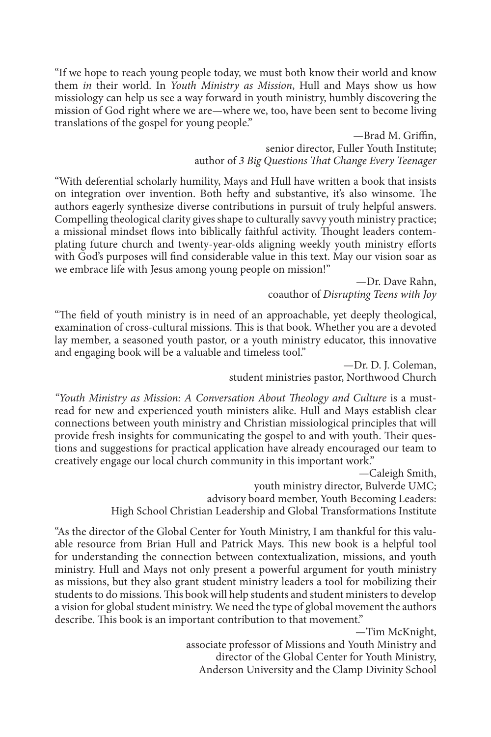"If we hope to reach young people today, we must both know their world and know them *in* their world. In *Youth Ministry as Mission*, Hull and Mays show us how missiology can help us see a way forward in youth ministry, humbly discovering the mission of God right where we are—where we, too, have been sent to become living translations of the gospel for young people."

> —Brad M. Griffin, senior director, Fuller Youth Institute; author of *3 Big Questions That Change Every Teenager*

"With deferential scholarly humility, Mays and Hull have written a book that insists on integration over invention. Both hefty and substantive, it's also winsome. The authors eagerly synthesize diverse contributions in pursuit of truly helpful answers. Compelling theological clarity gives shape to culturally savvy youth ministry practice; a missional mindset flows into biblically faithful activity. Thought leaders contemplating future church and twenty-year-olds aligning weekly youth ministry efforts with God's purposes will find considerable value in this text. May our vision soar as we embrace life with Jesus among young people on mission!"

—Dr. Dave Rahn, coauthor of *Disrupting Teens with Joy*

"The field of youth ministry is in need of an approachable, yet deeply theological, examination of cross-cultural missions. This is that book. Whether you are a devoted lay member, a seasoned youth pastor, or a youth ministry educator, this innovative and engaging book will be a valuable and timeless tool."

> —Dr. D. J. Coleman, student ministries pastor, Northwood Church

*"Youth Ministry as Mission: A Conversation About Theology and Culture* is a mustread for new and experienced youth ministers alike. Hull and Mays establish clear connections between youth ministry and Christian missiological principles that will provide fresh insights for communicating the gospel to and with youth. Their questions and suggestions for practical application have already encouraged our team to creatively engage our local church community in this important work."

—Caleigh Smith,

youth ministry director, Bulverde UMC;

advisory board member, Youth Becoming Leaders:

High School Christian Leadership and Global Transformations Institute

"As the director of the Global Center for Youth Ministry, I am thankful for this valuable resource from Brian Hull and Patrick Mays. This new book is a helpful tool for understanding the connection between contextualization, missions, and youth ministry. Hull and Mays not only present a powerful argument for youth ministry as missions, but they also grant student ministry leaders a tool for mobilizing their students to do missions. This book will help students and student ministers to develop a vision for global student ministry. We need the type of global movement the authors describe. This book is an important contribution to that movement."

—Tim McKnight,

associate professor of Missions and Youth Ministry and director of the Global Center for Youth Ministry, Anderson University and the Clamp Divinity School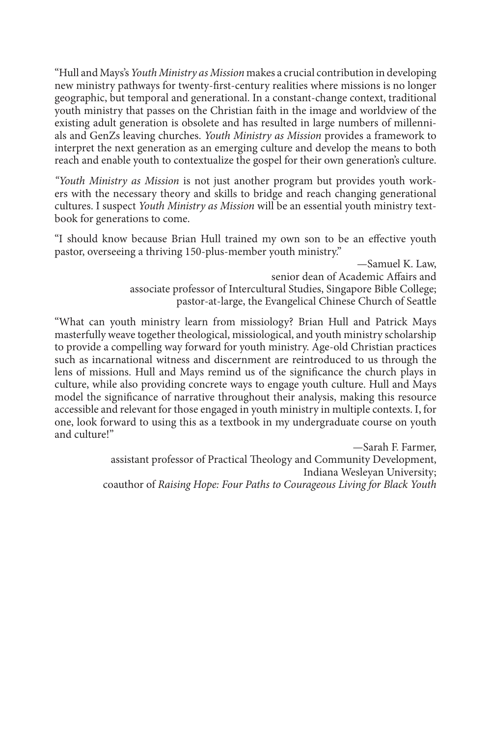"Hull and Mays's *Youth Ministry as Mission* makes a crucial contribution in developing new ministry pathways for twenty-first-century realities where missions is no longer geographic, but temporal and generational. In a constant-change context, traditional youth ministry that passes on the Christian faith in the image and worldview of the existing adult generation is obsolete and has resulted in large numbers of millennials and GenZs leaving churches. *Youth Ministry as Mission* provides a framework to interpret the next generation as an emerging culture and develop the means to both reach and enable youth to contextualize the gospel for their own generation's culture.

*"Youth Ministry as Mission* is not just another program but provides youth workers with the necessary theory and skills to bridge and reach changing generational cultures. I suspect *Youth Ministry as Mission* will be an essential youth ministry textbook for generations to come.

"I should know because Brian Hull trained my own son to be an effective youth pastor, overseeing a thriving 150-plus-member youth ministry."

—Samuel K. Law,

senior dean of Academic Affairs and

associate professor of Intercultural Studies, Singapore Bible College; pastor-at-large, the Evangelical Chinese Church of Seattle

"What can youth ministry learn from missiology? Brian Hull and Patrick Mays masterfully weave together theological, missiological, and youth ministry scholarship to provide a compelling way forward for youth ministry. Age-old Christian practices such as incarnational witness and discernment are reintroduced to us through the lens of missions. Hull and Mays remind us of the significance the church plays in culture, while also providing concrete ways to engage youth culture. Hull and Mays model the significance of narrative throughout their analysis, making this resource accessible and relevant for those engaged in youth ministry in multiple contexts. I, for one, look forward to using this as a textbook in my undergraduate course on youth and culture!"

> —Sarah F. Farmer, assistant professor of Practical Theology and Community Development, Indiana Wesleyan University; coauthor of *Raising Hope: Four Paths to Courageous Living for Black Youth*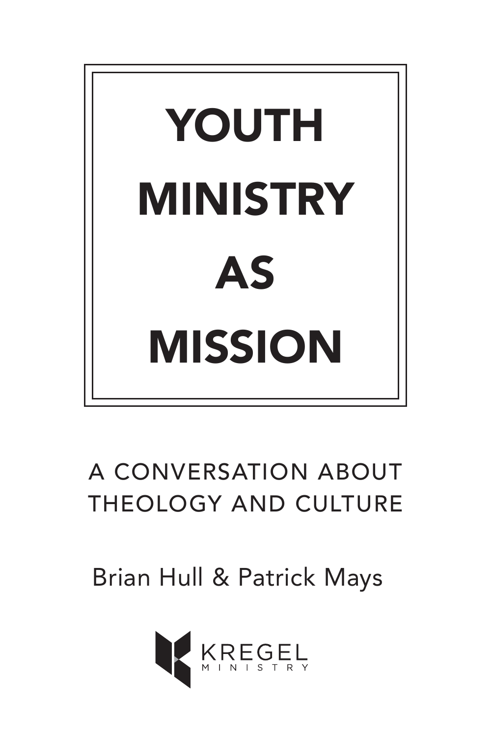

### A CONVERSATION ABOUT THEOLOGY AND CULTURE

Brian Hull & Patrick Mays

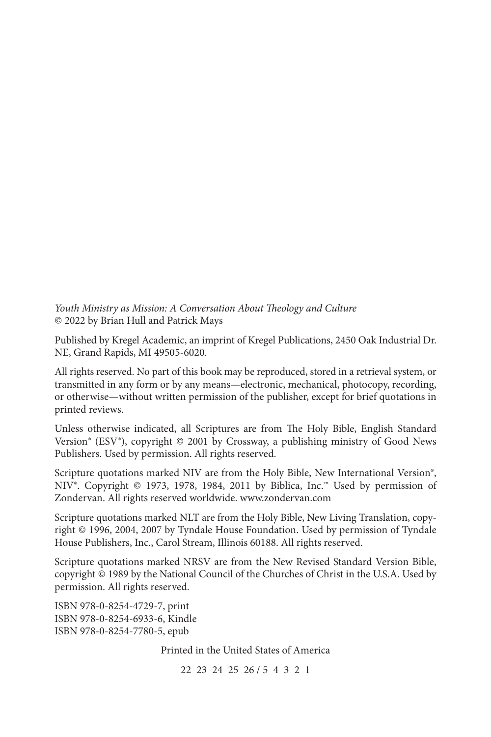*Youth Ministry as Mission: A Conversation About Theology and Culture* © 2022 by Brian Hull and Patrick Mays

Published by Kregel Academic, an imprint of Kregel Publications, 2450 Oak Industrial Dr. NE, Grand Rapids, MI 49505-6020.

All rights reserved. No part of this book may be reproduced, stored in a retrieval system, or transmitted in any form or by any means—electronic, mechanical, photocopy, recording, or otherwise—without written permission of the publisher, except for brief quotations in printed reviews.

Unless otherwise indicated, all Scriptures are from The Holy Bible, English Standard Version® (ESV®), copyright © 2001 by Crossway, a publishing ministry of Good News Publishers. Used by permission. All rights reserved.

Scripture quotations marked NIV are from the Holy Bible, New International Version®, NIV®. Copyright © 1973, 1978, 1984, 2011 by Biblica, Inc.™ Used by permission of Zondervan. All rights reserved worldwide. www.zondervan.com

Scripture quotations marked NLT are from the Holy Bible, New Living Translation, copyright © 1996, 2004, 2007 by Tyndale House Foundation. Used by permission of Tyndale House Publishers, Inc., Carol Stream, Illinois 60188. All rights reserved.

Scripture quotations marked NRSV are from the New Revised Standard Version Bible, copyright © 1989 by the National Council of the Churches of Christ in the U.S.A. Used by permission. All rights reserved.

ISBN 978-0-8254-4729-7, print ISBN 978-0-8254-6933-6, Kindle ISBN 978-0-8254-7780-5, epub

Printed in the United States of America

22 23 24 25 26 / 5 4 3 2 1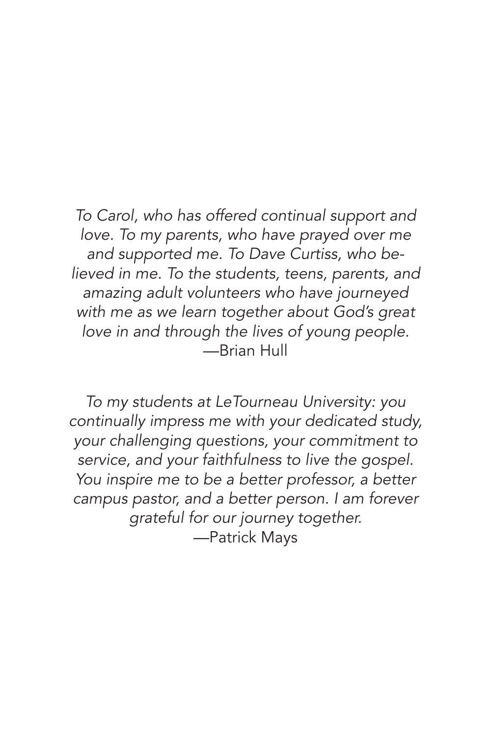*To Carol, who has offered continual support and love. To my parents, who have prayed over me and supported me. To Dave Curtiss, who believed in me. To the students, teens, parents, and amazing adult volunteers who have journeyed with me as we learn together about God's great love in and through the lives of young people.* —Brian Hull

*To my students at LeTourneau University: you continually impress me with your dedicated study, your challenging questions, your commitment to service, and your faithfulness to live the gospel. You inspire me to be a better professor, a better campus pastor, and a better person. I am forever grateful for our journey together.* —Patrick Mays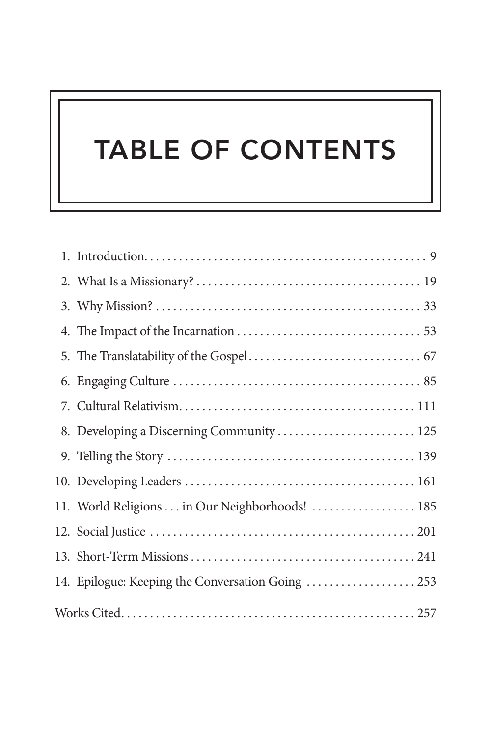## TABLE OF CONTENTS

|  | 8. Developing a Discerning Community  125         |
|--|---------------------------------------------------|
|  |                                                   |
|  |                                                   |
|  | 11. World Religions  in Our Neighborhoods!  185   |
|  |                                                   |
|  |                                                   |
|  | 14. Epilogue: Keeping the Conversation Going  253 |
|  |                                                   |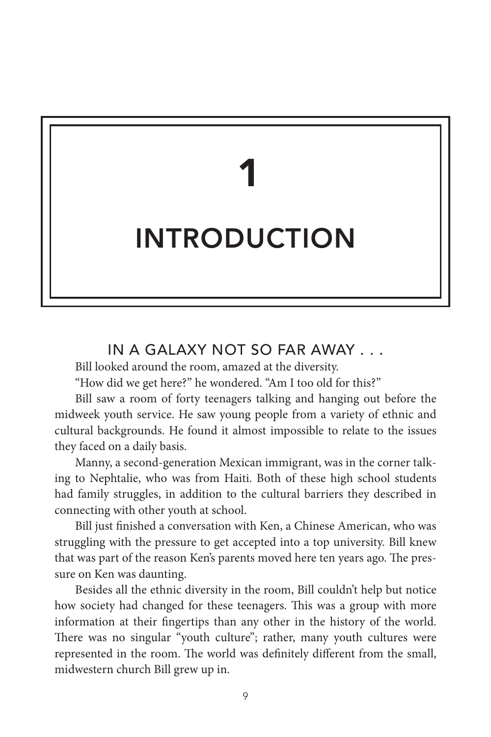# 1 INTRODUCTION

### IN A GALAXY NOT SO FAR AWAY . . .

Bill looked around the room, amazed at the diversity.

"How did we get here?" he wondered. "Am I too old for this?"

Bill saw a room of forty teenagers talking and hanging out before the midweek youth service. He saw young people from a variety of ethnic and cultural backgrounds. He found it almost impossible to relate to the issues they faced on a daily basis.

Manny, a second-generation Mexican immigrant, was in the corner talking to Nephtalie, who was from Haiti. Both of these high school students had family struggles, in addition to the cultural barriers they described in connecting with other youth at school.

Bill just finished a conversation with Ken, a Chinese American, who was struggling with the pressure to get accepted into a top university. Bill knew that was part of the reason Ken's parents moved here ten years ago. The pressure on Ken was daunting.

Besides all the ethnic diversity in the room, Bill couldn't help but notice how society had changed for these teenagers. This was a group with more information at their fingertips than any other in the history of the world. There was no singular "youth culture"; rather, many youth cultures were represented in the room. The world was definitely different from the small, midwestern church Bill grew up in.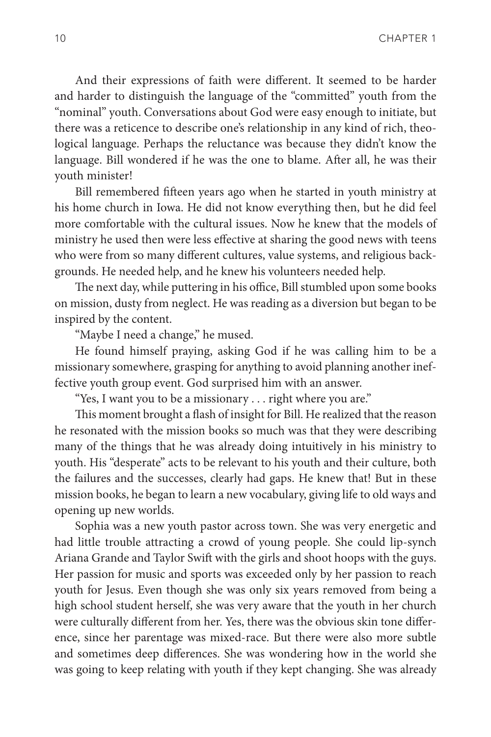And their expressions of faith were different. It seemed to be harder and harder to distinguish the language of the "committed" youth from the "nominal" youth. Conversations about God were easy enough to initiate, but there was a reticence to describe one's relationship in any kind of rich, theological language. Perhaps the reluctance was because they didn't know the language. Bill wondered if he was the one to blame. After all, he was their youth minister!

Bill remembered fifteen years ago when he started in youth ministry at his home church in Iowa. He did not know everything then, but he did feel more comfortable with the cultural issues. Now he knew that the models of ministry he used then were less effective at sharing the good news with teens who were from so many different cultures, value systems, and religious backgrounds. He needed help, and he knew his volunteers needed help.

The next day, while puttering in his office, Bill stumbled upon some books on mission, dusty from neglect. He was reading as a diversion but began to be inspired by the content.

"Maybe I need a change," he mused.

He found himself praying, asking God if he was calling him to be a missionary somewhere, grasping for anything to avoid planning another ineffective youth group event. God surprised him with an answer.

"Yes, I want you to be a missionary . . . right where you are."

This moment brought a flash of insight for Bill. He realized that the reason he resonated with the mission books so much was that they were describing many of the things that he was already doing intuitively in his ministry to youth. His "desperate" acts to be relevant to his youth and their culture, both the failures and the successes, clearly had gaps. He knew that! But in these mission books, he began to learn a new vocabulary, giving life to old ways and opening up new worlds.

Sophia was a new youth pastor across town. She was very energetic and had little trouble attracting a crowd of young people. She could lip-synch Ariana Grande and Taylor Swift with the girls and shoot hoops with the guys. Her passion for music and sports was exceeded only by her passion to reach youth for Jesus. Even though she was only six years removed from being a high school student herself, she was very aware that the youth in her church were culturally different from her. Yes, there was the obvious skin tone difference, since her parentage was mixed-race. But there were also more subtle and sometimes deep differences. She was wondering how in the world she was going to keep relating with youth if they kept changing. She was already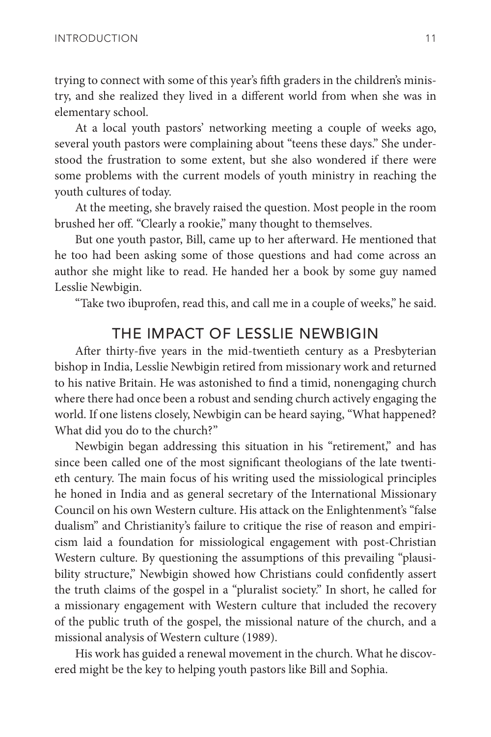trying to connect with some of this year's fifth graders in the children's ministry, and she realized they lived in a different world from when she was in elementary school.

At a local youth pastors' networking meeting a couple of weeks ago, several youth pastors were complaining about "teens these days." She understood the frustration to some extent, but she also wondered if there were some problems with the current models of youth ministry in reaching the youth cultures of today.

At the meeting, she bravely raised the question. Most people in the room brushed her off. "Clearly a rookie," many thought to themselves.

But one youth pastor, Bill, came up to her afterward. He mentioned that he too had been asking some of those questions and had come across an author she might like to read. He handed her a book by some guy named Lesslie Newbigin.

"Take two ibuprofen, read this, and call me in a couple of weeks," he said.

### THE IMPACT OF LESSLIE NEWBIGIN

After thirty-five years in the mid-twentieth century as a Presbyterian bishop in India, Lesslie Newbigin retired from missionary work and returned to his native Britain. He was astonished to find a timid, nonengaging church where there had once been a robust and sending church actively engaging the world. If one listens closely, Newbigin can be heard saying, "What happened? What did you do to the church?"

Newbigin began addressing this situation in his "retirement," and has since been called one of the most significant theologians of the late twentieth century. The main focus of his writing used the missiological principles he honed in India and as general secretary of the International Missionary Council on his own Western culture. His attack on the Enlightenment's "false dualism" and Christianity's failure to critique the rise of reason and empiricism laid a foundation for missiological engagement with post-Christian Western culture. By questioning the assumptions of this prevailing "plausibility structure," Newbigin showed how Christians could confidently assert the truth claims of the gospel in a "pluralist society." In short, he called for a missionary engagement with Western culture that included the recovery of the public truth of the gospel, the missional nature of the church, and a missional analysis of Western culture (1989).

His work has guided a renewal movement in the church. What he discovered might be the key to helping youth pastors like Bill and Sophia.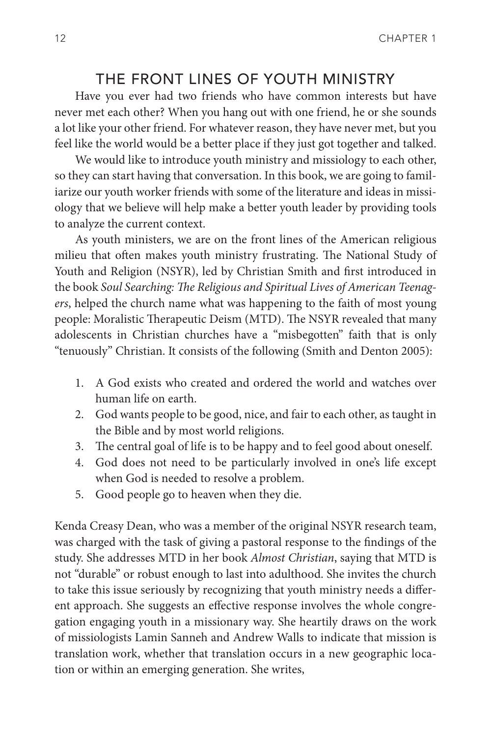### THE FRONT LINES OF YOUTH MINISTRY

Have you ever had two friends who have common interests but have never met each other? When you hang out with one friend, he or she sounds a lot like your other friend. For whatever reason, they have never met, but you feel like the world would be a better place if they just got together and talked.

We would like to introduce youth ministry and missiology to each other, so they can start having that conversation. In this book, we are going to familiarize our youth worker friends with some of the literature and ideas in missiology that we believe will help make a better youth leader by providing tools to analyze the current context.

As youth ministers, we are on the front lines of the American religious milieu that often makes youth ministry frustrating. The National Study of Youth and Religion (NSYR), led by Christian Smith and first introduced in the book *Soul Searching: The Religious and Spiritual Lives of American Teenagers*, helped the church name what was happening to the faith of most young people: Moralistic Therapeutic Deism (MTD). The NSYR revealed that many adolescents in Christian churches have a "misbegotten" faith that is only "tenuously" Christian. It consists of the following (Smith and Denton 2005):

- 1. A God exists who created and ordered the world and watches over human life on earth.
- 2. God wants people to be good, nice, and fair to each other, as taught in the Bible and by most world religions.
- 3. The central goal of life is to be happy and to feel good about oneself.
- 4. God does not need to be particularly involved in one's life except when God is needed to resolve a problem.
- 5. Good people go to heaven when they die.

Kenda Creasy Dean, who was a member of the original NSYR research team, was charged with the task of giving a pastoral response to the findings of the study. She addresses MTD in her book *Almost Christian*, saying that MTD is not "durable" or robust enough to last into adulthood. She invites the church to take this issue seriously by recognizing that youth ministry needs a different approach. She suggests an effective response involves the whole congregation engaging youth in a missionary way. She heartily draws on the work of missiologists Lamin Sanneh and Andrew Walls to indicate that mission is translation work, whether that translation occurs in a new geographic location or within an emerging generation. She writes,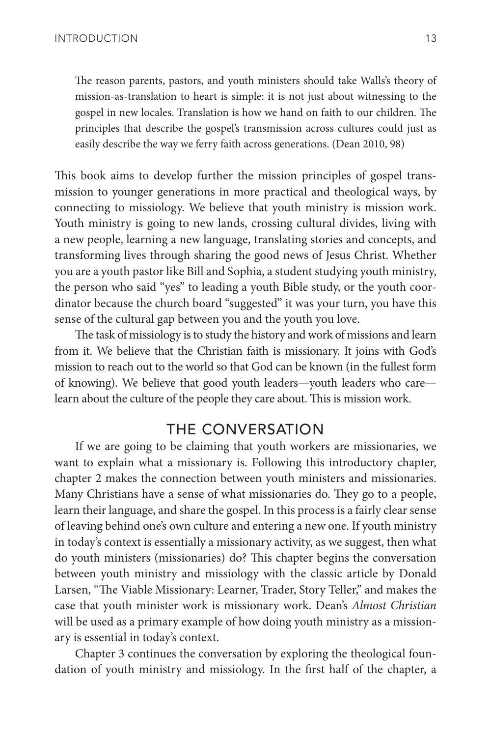The reason parents, pastors, and youth ministers should take Walls's theory of mission-as-translation to heart is simple: it is not just about witnessing to the gospel in new locales. Translation is how we hand on faith to our children. The principles that describe the gospel's transmission across cultures could just as easily describe the way we ferry faith across generations. (Dean 2010, 98)

This book aims to develop further the mission principles of gospel transmission to younger generations in more practical and theological ways, by connecting to missiology. We believe that youth ministry is mission work. Youth ministry is going to new lands, crossing cultural divides, living with a new people, learning a new language, translating stories and concepts, and transforming lives through sharing the good news of Jesus Christ. Whether you are a youth pastor like Bill and Sophia, a student studying youth ministry, the person who said "yes" to leading a youth Bible study, or the youth coordinator because the church board "suggested" it was your turn, you have this sense of the cultural gap between you and the youth you love.

The task of missiology is to study the history and work of missions and learn from it. We believe that the Christian faith is missionary. It joins with God's mission to reach out to the world so that God can be known (in the fullest form of knowing). We believe that good youth leaders—youth leaders who care learn about the culture of the people they care about. This is mission work.

### THE CONVERSATION

If we are going to be claiming that youth workers are missionaries, we want to explain what a missionary is. Following this introductory chapter, chapter 2 makes the connection between youth ministers and missionaries. Many Christians have a sense of what missionaries do. They go to a people, learn their language, and share the gospel. In this process is a fairly clear sense of leaving behind one's own culture and entering a new one. If youth ministry in today's context is essentially a missionary activity, as we suggest, then what do youth ministers (missionaries) do? This chapter begins the conversation between youth ministry and missiology with the classic article by Donald Larsen, "The Viable Missionary: Learner, Trader, Story Teller," and makes the case that youth minister work is missionary work. Dean's *Almost Christian* will be used as a primary example of how doing youth ministry as a missionary is essential in today's context.

Chapter 3 continues the conversation by exploring the theological foundation of youth ministry and missiology. In the first half of the chapter, a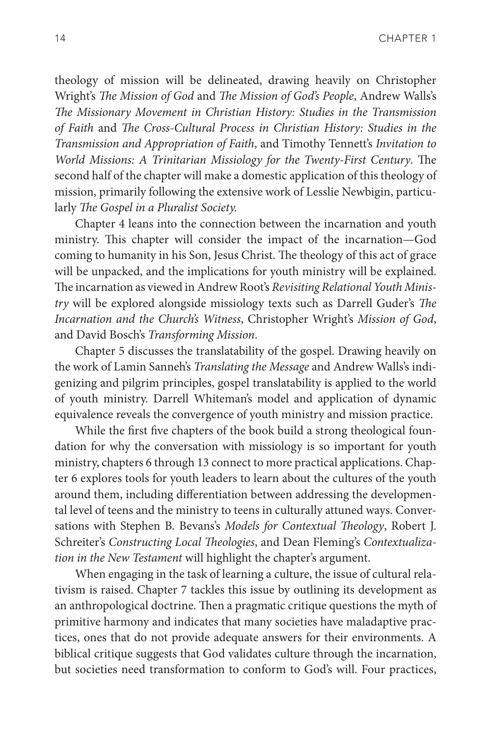theology of mission will be delineated, drawing heavily on Christopher Wright's *The Mission of God* and *The Mission of God's People*, Andrew Walls's *The Missionary Movement in Christian History: Studies in the Transmission of Faith* and *The Cross-Cultural Process in Christian History: Studies in the Transmission and Appropriation of Faith*, and Timothy Tennett's *Invitation to World Missions: A Trinitarian Missiology for the Twenty-First Century*. The second half of the chapter will make a domestic application of this theology of mission, primarily following the extensive work of Lesslie Newbigin, particularly *The Gospel in a Pluralist Society.*

Chapter 4 leans into the connection between the incarnation and youth ministry. This chapter will consider the impact of the incarnation—God coming to humanity in his Son, Jesus Christ. The theology of this act of grace will be unpacked, and the implications for youth ministry will be explained. The incarnation as viewed in Andrew Root's *Revisiting Relational Youth Ministry* will be explored alongside missiology texts such as Darrell Guder's *The Incarnation and the Church's Witness*, Christopher Wright's *Mission of God*, and David Bosch's *Transforming Mission*.

Chapter 5 discusses the translatability of the gospel. Drawing heavily on the work of Lamin Sanneh's *Translating the Message* and Andrew Walls's indigenizing and pilgrim principles, gospel translatability is applied to the world of youth ministry. Darrell Whiteman's model and application of dynamic equivalence reveals the convergence of youth ministry and mission practice.

While the first five chapters of the book build a strong theological foundation for why the conversation with missiology is so important for youth ministry, chapters 6 through 13 connect to more practical applications. Chapter 6 explores tools for youth leaders to learn about the cultures of the youth around them, including differentiation between addressing the developmental level of teens and the ministry to teens in culturally attuned ways. Conversations with Stephen B. Bevans's *Models for Contextual Theology*, Robert J. Schreiter's *Constructing Local Theologies*, and Dean Fleming's *Contextualization in the New Testament* will highlight the chapter's argument.

When engaging in the task of learning a culture, the issue of cultural relativism is raised. Chapter 7 tackles this issue by outlining its development as an anthropological doctrine. Then a pragmatic critique questions the myth of primitive harmony and indicates that many societies have maladaptive practices, ones that do not provide adequate answers for their environments. A biblical critique suggests that God validates culture through the incarnation, but societies need transformation to conform to God's will. Four practices,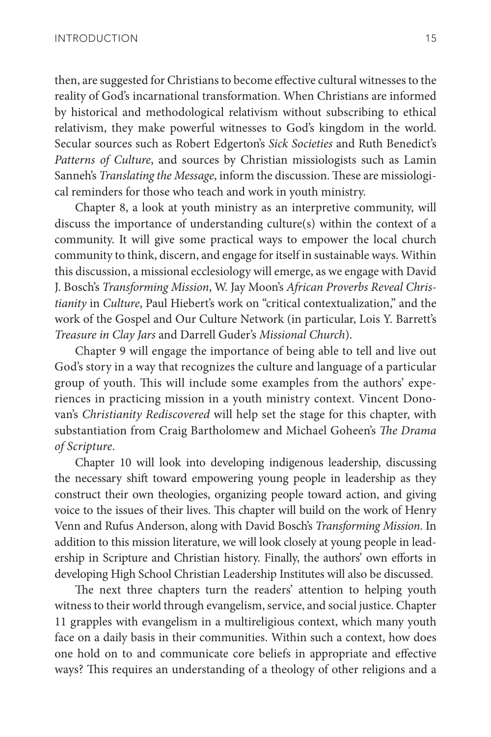then, are suggested for Christians to become effective cultural witnesses to the reality of God's incarnational transformation. When Christians are informed by historical and methodological relativism without subscribing to ethical relativism, they make powerful witnesses to God's kingdom in the world. Secular sources such as Robert Edgerton's *Sick Societies* and Ruth Benedict's *Patterns of Culture*, and sources by Christian missiologists such as Lamin Sanneh's *Translating the Message*, inform the discussion. These are missiological reminders for those who teach and work in youth ministry.

Chapter 8, a look at youth ministry as an interpretive community, will discuss the importance of understanding culture(s) within the context of a community. It will give some practical ways to empower the local church community to think, discern, and engage for itself in sustainable ways. Within this discussion, a missional ecclesiology will emerge, as we engage with David J. Bosch's *Transforming Mission*, W. Jay Moon's *African Proverbs Reveal Christianity* in *Culture*, Paul Hiebert's work on "critical contextualization," and the work of the Gospel and Our Culture Network (in particular, Lois Y. Barrett's *Treasure in Clay Jars* and Darrell Guder's *Missional Church*).

Chapter 9 will engage the importance of being able to tell and live out God's story in a way that recognizes the culture and language of a particular group of youth. This will include some examples from the authors' experiences in practicing mission in a youth ministry context. Vincent Donovan's *Christianity Rediscovered* will help set the stage for this chapter, with substantiation from Craig Bartholomew and Michael Goheen's *The Drama of Scripture*.

Chapter 10 will look into developing indigenous leadership, discussing the necessary shift toward empowering young people in leadership as they construct their own theologies, organizing people toward action, and giving voice to the issues of their lives. This chapter will build on the work of Henry Venn and Rufus Anderson, along with David Bosch's *Transforming Mission*. In addition to this mission literature, we will look closely at young people in leadership in Scripture and Christian history. Finally, the authors' own efforts in developing High School Christian Leadership Institutes will also be discussed.

The next three chapters turn the readers' attention to helping youth witness to their world through evangelism, service, and social justice. Chapter 11 grapples with evangelism in a multireligious context, which many youth face on a daily basis in their communities. Within such a context, how does one hold on to and communicate core beliefs in appropriate and effective ways? This requires an understanding of a theology of other religions and a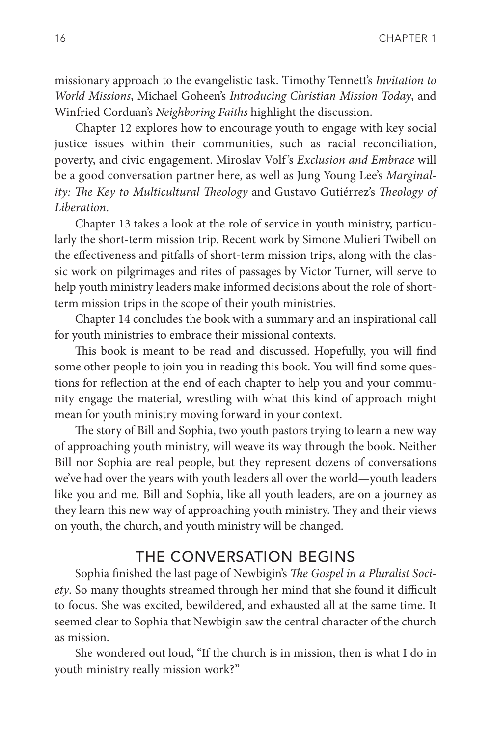missionary approach to the evangelistic task. Timothy Tennett's *Invitation to World Missions*, Michael Goheen's *Introducing Christian Mission Today*, and Winfried Corduan's *Neighboring Faiths* highlight the discussion.

Chapter 12 explores how to encourage youth to engage with key social justice issues within their communities, such as racial reconciliation, poverty, and civic engagement. Miroslav Volf 's *Exclusion and Embrace* will be a good conversation partner here, as well as Jung Young Lee's *Marginality: The Key to Multicultural Theology* and Gustavo Gutiérrez's *Theology of Liberation*.

Chapter 13 takes a look at the role of service in youth ministry, particularly the short-term mission trip. Recent work by Simone Mulieri Twibell on the effectiveness and pitfalls of short-term mission trips, along with the classic work on pilgrimages and rites of passages by Victor Turner, will serve to help youth ministry leaders make informed decisions about the role of shortterm mission trips in the scope of their youth ministries.

Chapter 14 concludes the book with a summary and an inspirational call for youth ministries to embrace their missional contexts.

This book is meant to be read and discussed. Hopefully, you will find some other people to join you in reading this book. You will find some questions for reflection at the end of each chapter to help you and your community engage the material, wrestling with what this kind of approach might mean for youth ministry moving forward in your context.

The story of Bill and Sophia, two youth pastors trying to learn a new way of approaching youth ministry, will weave its way through the book. Neither Bill nor Sophia are real people, but they represent dozens of conversations we've had over the years with youth leaders all over the world—youth leaders like you and me. Bill and Sophia, like all youth leaders, are on a journey as they learn this new way of approaching youth ministry. They and their views on youth, the church, and youth ministry will be changed.

### THE CONVERSATION BEGINS

Sophia finished the last page of Newbigin's *The Gospel in a Pluralist Society*. So many thoughts streamed through her mind that she found it difficult to focus. She was excited, bewildered, and exhausted all at the same time. It seemed clear to Sophia that Newbigin saw the central character of the church as mission.

She wondered out loud, "If the church is in mission, then is what I do in youth ministry really mission work?"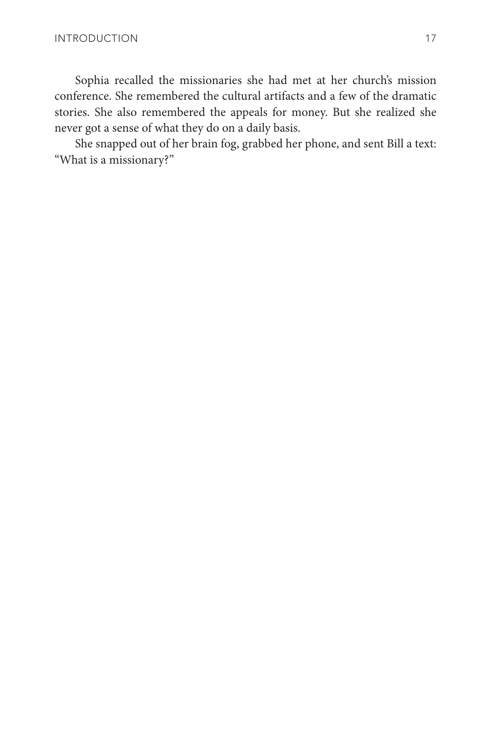Sophia recalled the missionaries she had met at her church's mission conference. She remembered the cultural artifacts and a few of the dramatic stories. She also remembered the appeals for money. But she realized she never got a sense of what they do on a daily basis.

She snapped out of her brain fog, grabbed her phone, and sent Bill a text: "What is a missionary?"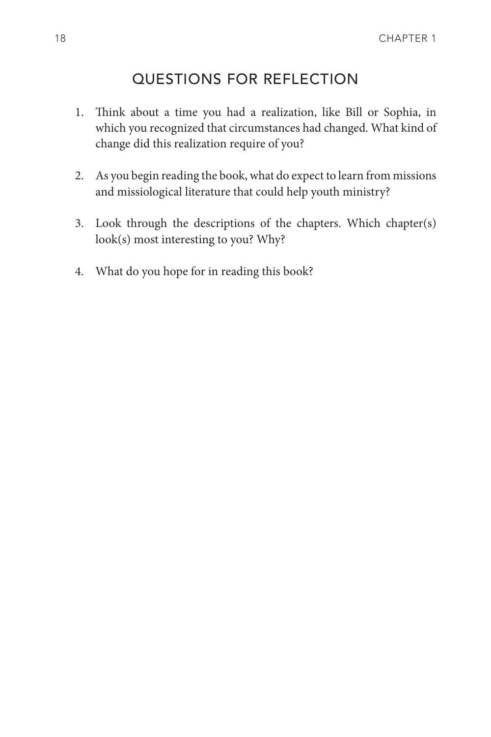### QUESTIONS FOR REFLECTION

- 1. Think about a time you had a realization, like Bill or Sophia, in which you recognized that circumstances had changed. What kind of change did this realization require of you?
- 2. As you begin reading the book, what do expect to learn from missions and missiological literature that could help youth ministry?
- 3. Look through the descriptions of the chapters. Which chapter(s) look(s) most interesting to you? Why?
- 4. What do you hope for in reading this book?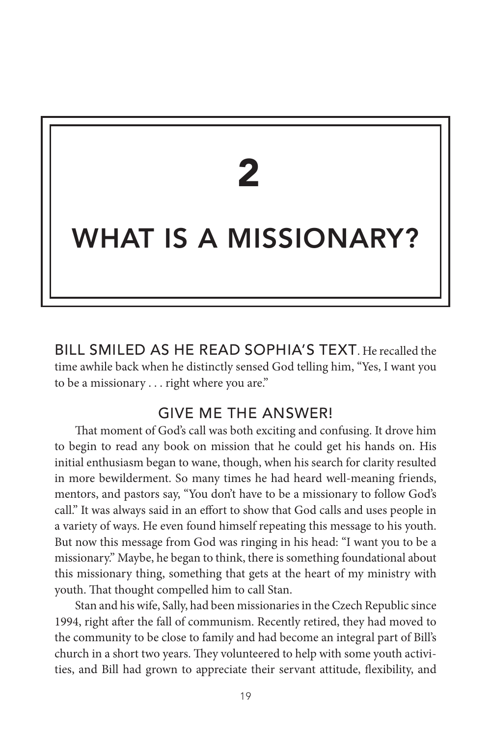# 2

## WHAT IS A MISSIONARY?

BILL SMILED AS HE READ SOPHIA'S TEXT. He recalled the time awhile back when he distinctly sensed God telling him, "Yes, I want you to be a missionary . . . right where you are."

### GIVE ME THE ANSWER!

That moment of God's call was both exciting and confusing. It drove him to begin to read any book on mission that he could get his hands on. His initial enthusiasm began to wane, though, when his search for clarity resulted in more bewilderment. So many times he had heard well-meaning friends, mentors, and pastors say, "You don't have to be a missionary to follow God's call." It was always said in an effort to show that God calls and uses people in a variety of ways. He even found himself repeating this message to his youth. But now this message from God was ringing in his head: "I want you to be a missionary." Maybe, he began to think, there is something foundational about this missionary thing, something that gets at the heart of my ministry with youth. That thought compelled him to call Stan.

Stan and his wife, Sally, had been missionaries in the Czech Republic since 1994, right after the fall of communism. Recently retired, they had moved to the community to be close to family and had become an integral part of Bill's church in a short two years. They volunteered to help with some youth activities, and Bill had grown to appreciate their servant attitude, flexibility, and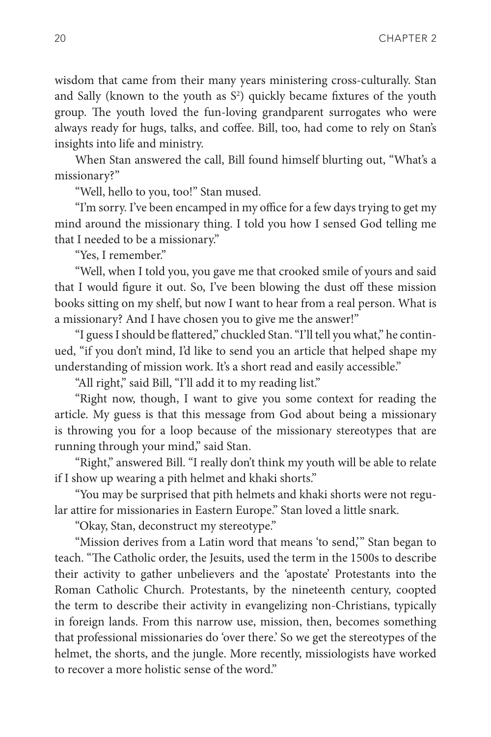wisdom that came from their many years ministering cross-culturally. Stan and Sally (known to the youth as  $S^2$ ) quickly became fixtures of the youth group. The youth loved the fun-loving grandparent surrogates who were always ready for hugs, talks, and coffee. Bill, too, had come to rely on Stan's insights into life and ministry.

When Stan answered the call, Bill found himself blurting out, "What's a missionary?"

"Well, hello to you, too!" Stan mused.

"I'm sorry. I've been encamped in my office for a few days trying to get my mind around the missionary thing. I told you how I sensed God telling me that I needed to be a missionary."

"Yes, I remember."

"Well, when I told you, you gave me that crooked smile of yours and said that I would figure it out. So, I've been blowing the dust off these mission books sitting on my shelf, but now I want to hear from a real person. What is a missionary? And I have chosen you to give me the answer!"

"I guess I should be flattered," chuckled Stan. "I'll tell you what," he continued, "if you don't mind, I'd like to send you an article that helped shape my understanding of mission work. It's a short read and easily accessible."

"All right," said Bill, "I'll add it to my reading list."

"Right now, though, I want to give you some context for reading the article. My guess is that this message from God about being a missionary is throwing you for a loop because of the missionary stereotypes that are running through your mind," said Stan.

"Right," answered Bill. "I really don't think my youth will be able to relate if I show up wearing a pith helmet and khaki shorts."

"You may be surprised that pith helmets and khaki shorts were not regular attire for missionaries in Eastern Europe." Stan loved a little snark.

"Okay, Stan, deconstruct my stereotype."

"Mission derives from a Latin word that means 'to send,'" Stan began to teach. "The Catholic order, the Jesuits, used the term in the 1500s to describe their activity to gather unbelievers and the 'apostate' Protestants into the Roman Catholic Church. Protestants, by the nineteenth century, coopted the term to describe their activity in evangelizing non-Christians, typically in foreign lands. From this narrow use, mission, then, becomes something that professional missionaries do 'over there.' So we get the stereotypes of the helmet, the shorts, and the jungle. More recently, missiologists have worked to recover a more holistic sense of the word."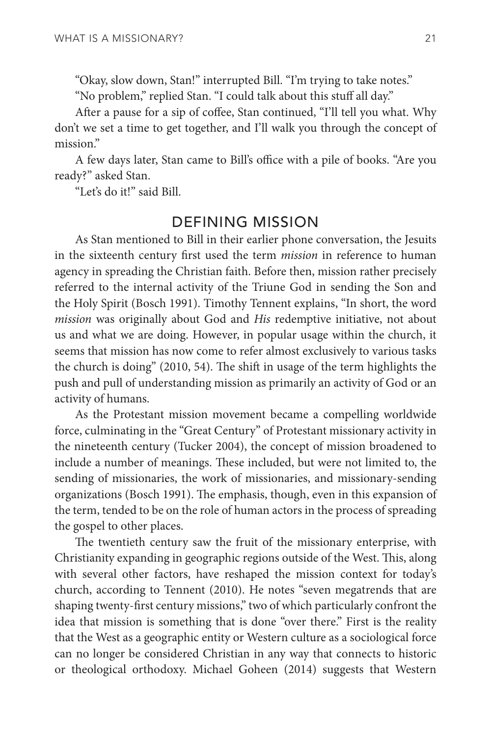"Okay, slow down, Stan!" interrupted Bill. "I'm trying to take notes." "No problem," replied Stan. "I could talk about this stuff all day."

After a pause for a sip of coffee, Stan continued, "I'll tell you what. Why don't we set a time to get together, and I'll walk you through the concept of mission"

A few days later, Stan came to Bill's office with a pile of books. "Are you ready?" asked Stan.

"Let's do it!" said Bill.

### DEFINING MISSION

As Stan mentioned to Bill in their earlier phone conversation, the Jesuits in the sixteenth century first used the term *mission* in reference to human agency in spreading the Christian faith. Before then, mission rather precisely referred to the internal activity of the Triune God in sending the Son and the Holy Spirit (Bosch 1991). Timothy Tennent explains, "In short, the word *mission* was originally about God and *His* redemptive initiative, not about us and what we are doing. However, in popular usage within the church, it seems that mission has now come to refer almost exclusively to various tasks the church is doing" (2010, 54). The shift in usage of the term highlights the push and pull of understanding mission as primarily an activity of God or an activity of humans.

As the Protestant mission movement became a compelling worldwide force, culminating in the "Great Century" of Protestant missionary activity in the nineteenth century (Tucker 2004), the concept of mission broadened to include a number of meanings. These included, but were not limited to, the sending of missionaries, the work of missionaries, and missionary-sending organizations (Bosch 1991). The emphasis, though, even in this expansion of the term, tended to be on the role of human actors in the process of spreading the gospel to other places.

The twentieth century saw the fruit of the missionary enterprise, with Christianity expanding in geographic regions outside of the West. This, along with several other factors, have reshaped the mission context for today's church, according to Tennent (2010). He notes "seven megatrends that are shaping twenty-first century missions," two of which particularly confront the idea that mission is something that is done "over there." First is the reality that the West as a geographic entity or Western culture as a sociological force can no longer be considered Christian in any way that connects to historic or theological orthodoxy. Michael Goheen (2014) suggests that Western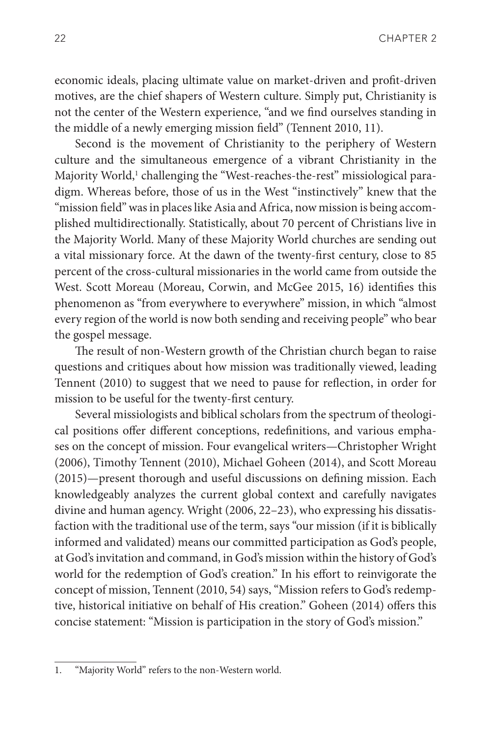economic ideals, placing ultimate value on market-driven and profit-driven motives, are the chief shapers of Western culture. Simply put, Christianity is not the center of the Western experience, "and we find ourselves standing in the middle of a newly emerging mission field" (Tennent 2010, 11).

Second is the movement of Christianity to the periphery of Western culture and the simultaneous emergence of a vibrant Christianity in the Majority World,<sup>1</sup> challenging the "West-reaches-the-rest" missiological paradigm. Whereas before, those of us in the West "instinctively" knew that the "mission field" was in places like Asia and Africa, now mission is being accomplished multidirectionally. Statistically, about 70 percent of Christians live in the Majority World. Many of these Majority World churches are sending out a vital missionary force. At the dawn of the twenty-first century, close to 85 percent of the cross-cultural missionaries in the world came from outside the West. Scott Moreau (Moreau, Corwin, and McGee 2015, 16) identifies this phenomenon as "from everywhere to everywhere" mission, in which "almost every region of the world is now both sending and receiving people" who bear the gospel message.

The result of non-Western growth of the Christian church began to raise questions and critiques about how mission was traditionally viewed, leading Tennent (2010) to suggest that we need to pause for reflection, in order for mission to be useful for the twenty-first century.

Several missiologists and biblical scholars from the spectrum of theological positions offer different conceptions, redefinitions, and various emphases on the concept of mission. Four evangelical writers—Christopher Wright (2006), Timothy Tennent (2010), Michael Goheen (2014), and Scott Moreau (2015)—present thorough and useful discussions on defining mission. Each knowledgeably analyzes the current global context and carefully navigates divine and human agency. Wright (2006, 22–23), who expressing his dissatisfaction with the traditional use of the term, says "our mission (if it is biblically informed and validated) means our committed participation as God's people, at God's invitation and command, in God's mission within the history of God's world for the redemption of God's creation." In his effort to reinvigorate the concept of mission, Tennent (2010, 54) says, "Mission refers to God's redemptive, historical initiative on behalf of His creation." Goheen (2014) offers this concise statement: "Mission is participation in the story of God's mission."

<sup>1.</sup> "Majority World" refers to the non-Western world.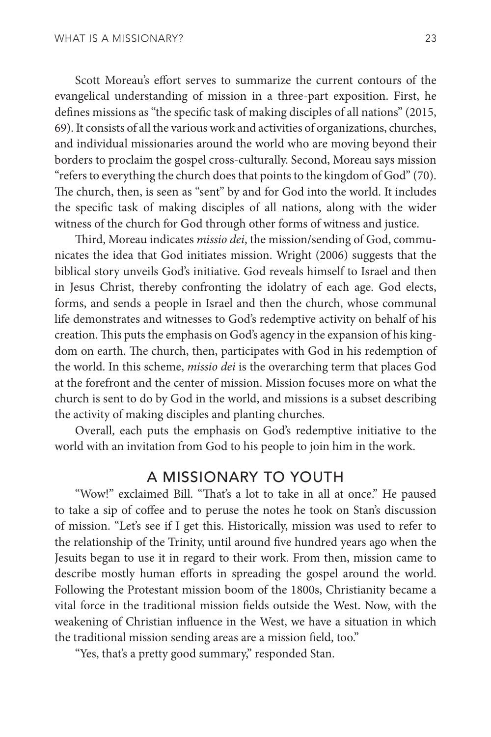Scott Moreau's effort serves to summarize the current contours of the evangelical understanding of mission in a three-part exposition. First, he defines missions as "the specific task of making disciples of all nations" (2015, 69). It consists of all the various work and activities of organizations, churches, and individual missionaries around the world who are moving beyond their borders to proclaim the gospel cross-culturally. Second, Moreau says mission "refers to everything the church does that points to the kingdom of God" (70). The church, then, is seen as "sent" by and for God into the world. It includes the specific task of making disciples of all nations, along with the wider witness of the church for God through other forms of witness and justice.

Third, Moreau indicates *missio dei*, the mission/sending of God, communicates the idea that God initiates mission. Wright (2006) suggests that the biblical story unveils God's initiative. God reveals himself to Israel and then in Jesus Christ, thereby confronting the idolatry of each age. God elects, forms, and sends a people in Israel and then the church, whose communal life demonstrates and witnesses to God's redemptive activity on behalf of his creation. This puts the emphasis on God's agency in the expansion of his kingdom on earth. The church, then, participates with God in his redemption of the world. In this scheme, *missio dei* is the overarching term that places God at the forefront and the center of mission. Mission focuses more on what the church is sent to do by God in the world, and missions is a subset describing the activity of making disciples and planting churches.

Overall, each puts the emphasis on God's redemptive initiative to the world with an invitation from God to his people to join him in the work.

### A MISSIONARY TO YOUTH

"Wow!" exclaimed Bill. "That's a lot to take in all at once." He paused to take a sip of coffee and to peruse the notes he took on Stan's discussion of mission. "Let's see if I get this. Historically, mission was used to refer to the relationship of the Trinity, until around five hundred years ago when the Jesuits began to use it in regard to their work. From then, mission came to describe mostly human efforts in spreading the gospel around the world. Following the Protestant mission boom of the 1800s, Christianity became a vital force in the traditional mission fields outside the West. Now, with the weakening of Christian influence in the West, we have a situation in which the traditional mission sending areas are a mission field, too."

"Yes, that's a pretty good summary," responded Stan.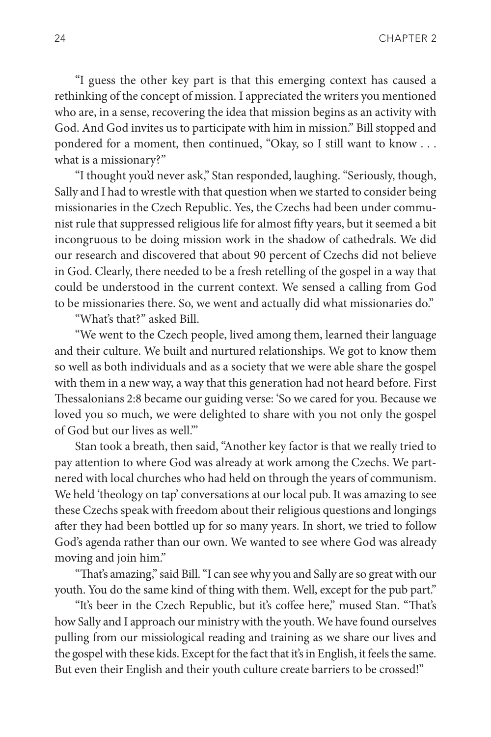"I guess the other key part is that this emerging context has caused a rethinking of the concept of mission. I appreciated the writers you mentioned who are, in a sense, recovering the idea that mission begins as an activity with God. And God invites us to participate with him in mission." Bill stopped and pondered for a moment, then continued, "Okay, so I still want to know . . . what is a missionary?"

"I thought you'd never ask," Stan responded, laughing. "Seriously, though, Sally and I had to wrestle with that question when we started to consider being missionaries in the Czech Republic. Yes, the Czechs had been under communist rule that suppressed religious life for almost fifty years, but it seemed a bit incongruous to be doing mission work in the shadow of cathedrals. We did our research and discovered that about 90 percent of Czechs did not believe in God. Clearly, there needed to be a fresh retelling of the gospel in a way that could be understood in the current context. We sensed a calling from God to be missionaries there. So, we went and actually did what missionaries do."

"What's that?" asked Bill.

"We went to the Czech people, lived among them, learned their language and their culture. We built and nurtured relationships. We got to know them so well as both individuals and as a society that we were able share the gospel with them in a new way, a way that this generation had not heard before. First Thessalonians 2:8 became our guiding verse: 'So we cared for you. Because we loved you so much, we were delighted to share with you not only the gospel of God but our lives as well.'"

Stan took a breath, then said, "Another key factor is that we really tried to pay attention to where God was already at work among the Czechs. We partnered with local churches who had held on through the years of communism. We held 'theology on tap' conversations at our local pub. It was amazing to see these Czechs speak with freedom about their religious questions and longings after they had been bottled up for so many years. In short, we tried to follow God's agenda rather than our own. We wanted to see where God was already moving and join him."

"That's amazing," said Bill. "I can see why you and Sally are so great with our youth. You do the same kind of thing with them. Well, except for the pub part."

"It's beer in the Czech Republic, but it's coffee here," mused Stan. "That's how Sally and I approach our ministry with the youth. We have found ourselves pulling from our missiological reading and training as we share our lives and the gospel with these kids. Except for the fact that it's in English, it feels the same. But even their English and their youth culture create barriers to be crossed!"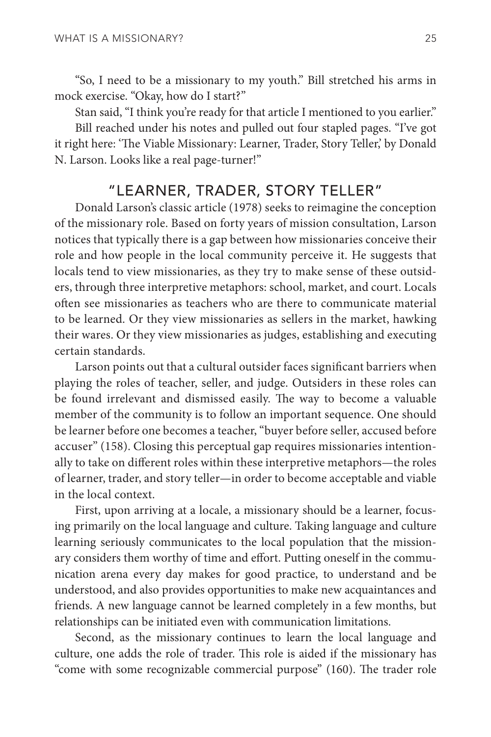"So, I need to be a missionary to my youth." Bill stretched his arms in mock exercise. "Okay, how do I start?"

Stan said, "I think you're ready for that article I mentioned to you earlier." Bill reached under his notes and pulled out four stapled pages. "I've got it right here: 'The Viable Missionary: Learner, Trader, Story Teller,' by Donald N. Larson. Looks like a real page-turner!"

### "LEARNER, TRADER, STORY TELLER"

Donald Larson's classic article (1978) seeks to reimagine the conception of the missionary role. Based on forty years of mission consultation, Larson notices that typically there is a gap between how missionaries conceive their role and how people in the local community perceive it. He suggests that locals tend to view missionaries, as they try to make sense of these outsiders, through three interpretive metaphors: school, market, and court. Locals often see missionaries as teachers who are there to communicate material to be learned. Or they view missionaries as sellers in the market, hawking their wares. Or they view missionaries as judges, establishing and executing certain standards.

Larson points out that a cultural outsider faces significant barriers when playing the roles of teacher, seller, and judge. Outsiders in these roles can be found irrelevant and dismissed easily. The way to become a valuable member of the community is to follow an important sequence. One should be learner before one becomes a teacher, "buyer before seller, accused before accuser" (158). Closing this perceptual gap requires missionaries intentionally to take on different roles within these interpretive metaphors—the roles of learner, trader, and story teller—in order to become acceptable and viable in the local context.

First, upon arriving at a locale, a missionary should be a learner, focusing primarily on the local language and culture. Taking language and culture learning seriously communicates to the local population that the missionary considers them worthy of time and effort. Putting oneself in the communication arena every day makes for good practice, to understand and be understood, and also provides opportunities to make new acquaintances and friends. A new language cannot be learned completely in a few months, but relationships can be initiated even with communication limitations.

Second, as the missionary continues to learn the local language and culture, one adds the role of trader. This role is aided if the missionary has "come with some recognizable commercial purpose" (160). The trader role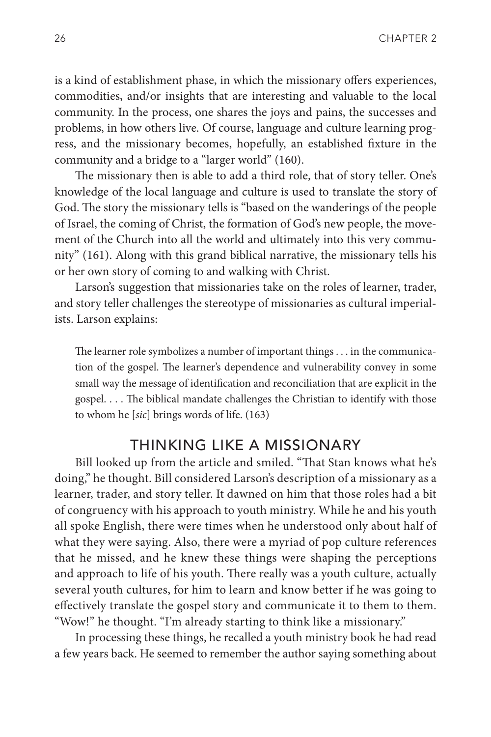is a kind of establishment phase, in which the missionary offers experiences, commodities, and/or insights that are interesting and valuable to the local community. In the process, one shares the joys and pains, the successes and problems, in how others live. Of course, language and culture learning progress, and the missionary becomes, hopefully, an established fixture in the community and a bridge to a "larger world" (160).

The missionary then is able to add a third role, that of story teller. One's knowledge of the local language and culture is used to translate the story of God. The story the missionary tells is "based on the wanderings of the people of Israel, the coming of Christ, the formation of God's new people, the movement of the Church into all the world and ultimately into this very community" (161). Along with this grand biblical narrative, the missionary tells his or her own story of coming to and walking with Christ.

Larson's suggestion that missionaries take on the roles of learner, trader, and story teller challenges the stereotype of missionaries as cultural imperialists. Larson explains:

The learner role symbolizes a number of important things . . . in the communication of the gospel. The learner's dependence and vulnerability convey in some small way the message of identification and reconciliation that are explicit in the gospel. . . . The biblical mandate challenges the Christian to identify with those to whom he [*sic*] brings words of life. (163)

#### THINKING LIKE A MISSIONARY

Bill looked up from the article and smiled. "That Stan knows what he's doing," he thought. Bill considered Larson's description of a missionary as a learner, trader, and story teller. It dawned on him that those roles had a bit of congruency with his approach to youth ministry. While he and his youth all spoke English, there were times when he understood only about half of what they were saying. Also, there were a myriad of pop culture references that he missed, and he knew these things were shaping the perceptions and approach to life of his youth. There really was a youth culture, actually several youth cultures, for him to learn and know better if he was going to effectively translate the gospel story and communicate it to them to them. "Wow!" he thought. "I'm already starting to think like a missionary."

In processing these things, he recalled a youth ministry book he had read a few years back. He seemed to remember the author saying something about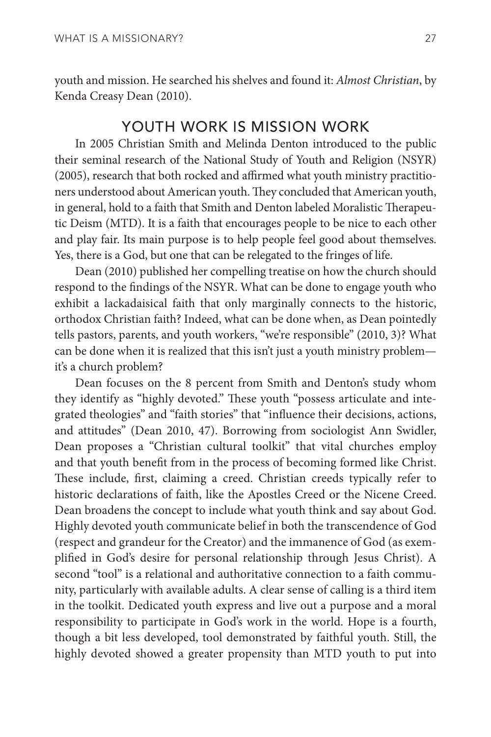youth and mission. He searched his shelves and found it: *Almost Christian*, by Kenda Creasy Dean (2010).

#### YOUTH WORK IS MISSION WORK

In 2005 Christian Smith and Melinda Denton introduced to the public their seminal research of the National Study of Youth and Religion (NSYR) (2005), research that both rocked and affirmed what youth ministry practitioners understood about American youth. They concluded that American youth, in general, hold to a faith that Smith and Denton labeled Moralistic Therapeutic Deism (MTD). It is a faith that encourages people to be nice to each other and play fair. Its main purpose is to help people feel good about themselves. Yes, there is a God, but one that can be relegated to the fringes of life.

Dean (2010) published her compelling treatise on how the church should respond to the findings of the NSYR. What can be done to engage youth who exhibit a lackadaisical faith that only marginally connects to the historic, orthodox Christian faith? Indeed, what can be done when, as Dean pointedly tells pastors, parents, and youth workers, "we're responsible" (2010, 3)? What can be done when it is realized that this isn't just a youth ministry problem it's a church problem?

Dean focuses on the 8 percent from Smith and Denton's study whom they identify as "highly devoted." These youth "possess articulate and integrated theologies" and "faith stories" that "influence their decisions, actions, and attitudes" (Dean 2010, 47). Borrowing from sociologist Ann Swidler, Dean proposes a "Christian cultural toolkit" that vital churches employ and that youth benefit from in the process of becoming formed like Christ. These include, first, claiming a creed. Christian creeds typically refer to historic declarations of faith, like the Apostles Creed or the Nicene Creed. Dean broadens the concept to include what youth think and say about God. Highly devoted youth communicate belief in both the transcendence of God (respect and grandeur for the Creator) and the immanence of God (as exemplified in God's desire for personal relationship through Jesus Christ). A second "tool" is a relational and authoritative connection to a faith community, particularly with available adults. A clear sense of calling is a third item in the toolkit. Dedicated youth express and live out a purpose and a moral responsibility to participate in God's work in the world. Hope is a fourth, though a bit less developed, tool demonstrated by faithful youth. Still, the highly devoted showed a greater propensity than MTD youth to put into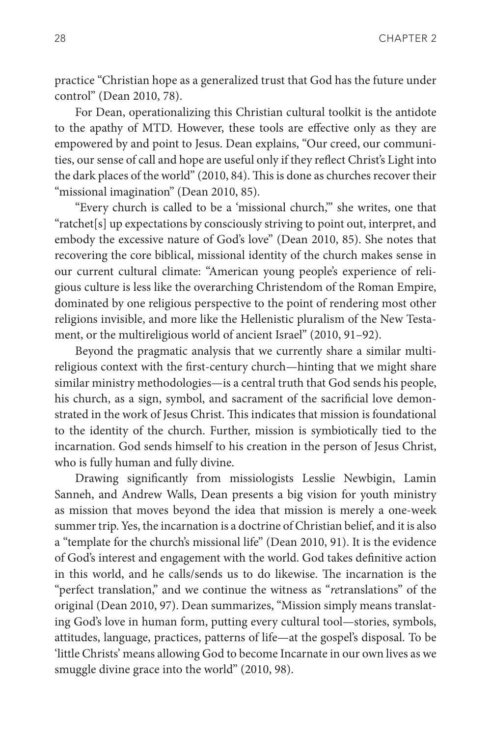practice "Christian hope as a generalized trust that God has the future under control" (Dean 2010, 78).

For Dean, operationalizing this Christian cultural toolkit is the antidote to the apathy of MTD. However, these tools are effective only as they are empowered by and point to Jesus. Dean explains, "Our creed, our communities, our sense of call and hope are useful only if they reflect Christ's Light into the dark places of the world" (2010, 84). This is done as churches recover their "missional imagination" (Dean 2010, 85).

"Every church is called to be a 'missional church,'" she writes, one that "ratchet[s] up expectations by consciously striving to point out, interpret, and embody the excessive nature of God's love" (Dean 2010, 85). She notes that recovering the core biblical, missional identity of the church makes sense in our current cultural climate: "American young people's experience of religious culture is less like the overarching Christendom of the Roman Empire, dominated by one religious perspective to the point of rendering most other religions invisible, and more like the Hellenistic pluralism of the New Testament, or the multireligious world of ancient Israel" (2010, 91–92).

Beyond the pragmatic analysis that we currently share a similar multireligious context with the first-century church—hinting that we might share similar ministry methodologies—is a central truth that God sends his people, his church, as a sign, symbol, and sacrament of the sacrificial love demonstrated in the work of Jesus Christ. This indicates that mission is foundational to the identity of the church. Further, mission is symbiotically tied to the incarnation. God sends himself to his creation in the person of Jesus Christ, who is fully human and fully divine.

Drawing significantly from missiologists Lesslie Newbigin, Lamin Sanneh, and Andrew Walls, Dean presents a big vision for youth ministry as mission that moves beyond the idea that mission is merely a one-week summer trip. Yes, the incarnation is a doctrine of Christian belief, and it is also a "template for the church's missional life" (Dean 2010, 91). It is the evidence of God's interest and engagement with the world. God takes definitive action in this world, and he calls/sends us to do likewise. The incarnation is the "perfect translation," and we continue the witness as "*re*translations" of the original (Dean 2010, 97). Dean summarizes, "Mission simply means translating God's love in human form, putting every cultural tool—stories, symbols, attitudes, language, practices, patterns of life—at the gospel's disposal. To be 'little Christs' means allowing God to become Incarnate in our own lives as we smuggle divine grace into the world" (2010, 98).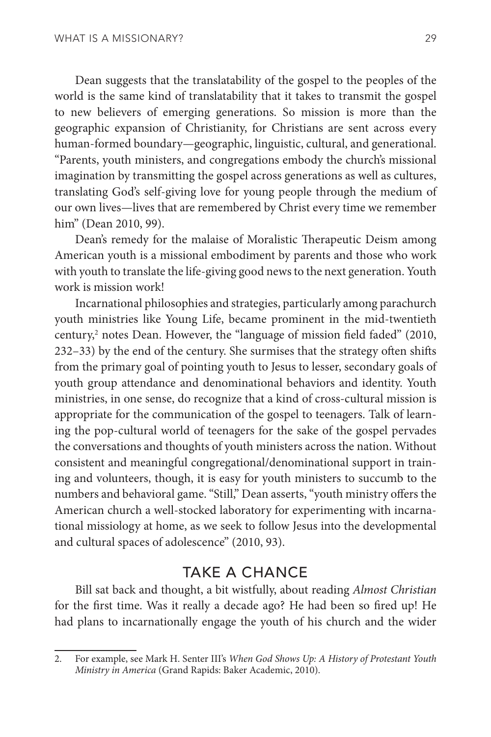Dean suggests that the translatability of the gospel to the peoples of the world is the same kind of translatability that it takes to transmit the gospel to new believers of emerging generations. So mission is more than the geographic expansion of Christianity, for Christians are sent across every human-formed boundary—geographic, linguistic, cultural, and generational. "Parents, youth ministers, and congregations embody the church's missional imagination by transmitting the gospel across generations as well as cultures, translating God's self-giving love for young people through the medium of our own lives—lives that are remembered by Christ every time we remember him" (Dean 2010, 99).

Dean's remedy for the malaise of Moralistic Therapeutic Deism among American youth is a missional embodiment by parents and those who work with youth to translate the life-giving good news to the next generation. Youth work is mission work!

Incarnational philosophies and strategies, particularly among parachurch youth ministries like Young Life, became prominent in the mid-twentieth century,<sup>2</sup> notes Dean. However, the "language of mission field faded" (2010, 232–33) by the end of the century. She surmises that the strategy often shifts from the primary goal of pointing youth to Jesus to lesser, secondary goals of youth group attendance and denominational behaviors and identity. Youth ministries, in one sense, do recognize that a kind of cross-cultural mission is appropriate for the communication of the gospel to teenagers. Talk of learning the pop-cultural world of teenagers for the sake of the gospel pervades the conversations and thoughts of youth ministers across the nation. Without consistent and meaningful congregational/denominational support in training and volunteers, though, it is easy for youth ministers to succumb to the numbers and behavioral game. "Still," Dean asserts, "youth ministry offers the American church a well-stocked laboratory for experimenting with incarnational missiology at home, as we seek to follow Jesus into the developmental and cultural spaces of adolescence" (2010, 93).

### TAKE A CHANCE

Bill sat back and thought, a bit wistfully, about reading *Almost Christian* for the first time. Was it really a decade ago? He had been so fired up! He had plans to incarnationally engage the youth of his church and the wider

<sup>2.</sup> For example, see Mark H. Senter III's *When God Shows Up: A History of Protestant Youth Ministry in America* (Grand Rapids: Baker Academic, 2010).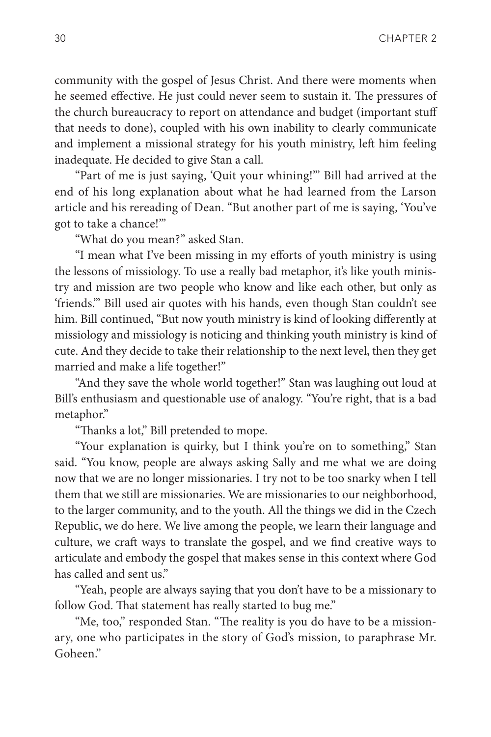community with the gospel of Jesus Christ. And there were moments when he seemed effective. He just could never seem to sustain it. The pressures of the church bureaucracy to report on attendance and budget (important stuff that needs to done), coupled with his own inability to clearly communicate and implement a missional strategy for his youth ministry, left him feeling inadequate. He decided to give Stan a call.

"Part of me is just saying, 'Quit your whining!'" Bill had arrived at the end of his long explanation about what he had learned from the Larson article and his rereading of Dean. "But another part of me is saying, 'You've got to take a chance!'"

"What do you mean?" asked Stan.

"I mean what I've been missing in my efforts of youth ministry is using the lessons of missiology. To use a really bad metaphor, it's like youth ministry and mission are two people who know and like each other, but only as 'friends.'" Bill used air quotes with his hands, even though Stan couldn't see him. Bill continued, "But now youth ministry is kind of looking differently at missiology and missiology is noticing and thinking youth ministry is kind of cute. And they decide to take their relationship to the next level, then they get married and make a life together!"

"And they save the whole world together!" Stan was laughing out loud at Bill's enthusiasm and questionable use of analogy. "You're right, that is a bad metaphor."

"Thanks a lot," Bill pretended to mope.

"Your explanation is quirky, but I think you're on to something," Stan said. "You know, people are always asking Sally and me what we are doing now that we are no longer missionaries. I try not to be too snarky when I tell them that we still are missionaries. We are missionaries to our neighborhood, to the larger community, and to the youth. All the things we did in the Czech Republic, we do here. We live among the people, we learn their language and culture, we craft ways to translate the gospel, and we find creative ways to articulate and embody the gospel that makes sense in this context where God has called and sent us."

"Yeah, people are always saying that you don't have to be a missionary to follow God. That statement has really started to bug me."

"Me, too," responded Stan. "The reality is you do have to be a missionary, one who participates in the story of God's mission, to paraphrase Mr. Goheen."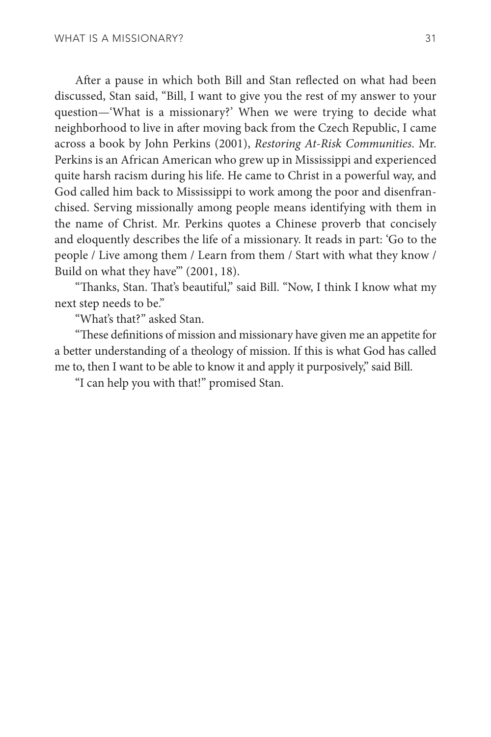After a pause in which both Bill and Stan reflected on what had been discussed, Stan said, "Bill, I want to give you the rest of my answer to your question—'What is a missionary?' When we were trying to decide what neighborhood to live in after moving back from the Czech Republic, I came across a book by John Perkins (2001), *Restoring At-Risk Communities*. Mr. Perkins is an African American who grew up in Mississippi and experienced quite harsh racism during his life. He came to Christ in a powerful way, and God called him back to Mississippi to work among the poor and disenfranchised. Serving missionally among people means identifying with them in the name of Christ. Mr. Perkins quotes a Chinese proverb that concisely and eloquently describes the life of a missionary. It reads in part: 'Go to the people / Live among them / Learn from them / Start with what they know / Build on what they have" (2001, 18).

"Thanks, Stan. That's beautiful," said Bill. "Now, I think I know what my next step needs to be."

"What's that?" asked Stan.

"These definitions of mission and missionary have given me an appetite for a better understanding of a theology of mission. If this is what God has called me to, then I want to be able to know it and apply it purposively," said Bill.

"I can help you with that!" promised Stan.